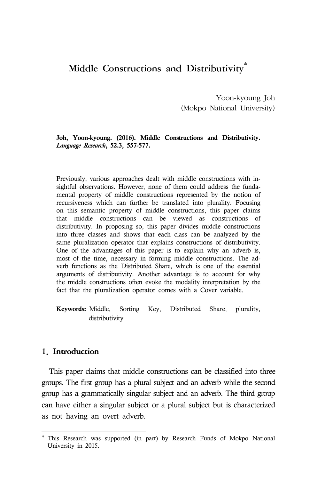# Middle Constructions and Distributivity<sup>\*</sup>

Yoon-kyoung Joh (Mokpo National University)

#### **Joh, Yoon-kyoung. (2016). Middle Constructions and Distributivity.**  *Language Research***, 52.3, 557-577.**

Previously, various approaches dealt with middle constructions with insightful observations. However, none of them could address the fundamental property of middle constructions represented by the notion of recursiveness which can further be translated into plurality. Focusing on this semantic property of middle constructions, this paper claims that middle constructions can be viewed as constructions of distributivity. In proposing so, this paper divides middle constructions into three classes and shows that each class can be analyzed by the same pluralization operator that explains constructions of distributivity. One of the advantages of this paper is to explain why an adverb is, most of the time, necessary in forming middle constructions. The adverb functions as the Distributed Share, which is one of the essential arguments of distributivity. Another advantage is to account for why the middle constructions often evoke the modality interpretation by the fact that the pluralization operator comes with a Cover variable.

**Keywords:** Middle, Sorting Key, Distributed Share, plurality, distributivity

# 1. Introduction

This paper claims that middle constructions can be classified into three groups. The first group has a plural subject and an adverb while the second group has a grammatically singular subject and an adverb. The third group can have either a singular subject or a plural subject but is characterized as not having an overt adverb.

<sup>\*</sup> This Research was supported (in part) by Research Funds of Mokpo National University in 2015.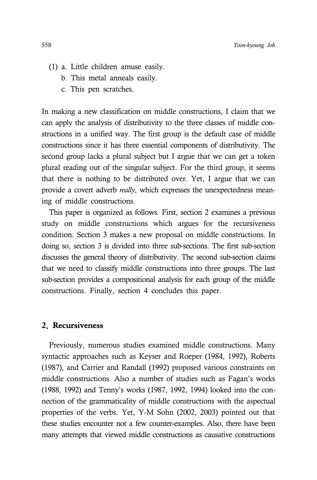- (1) a. Little children amuse easily.
	- b. This metal anneals easily.
	- c. This pen scratches.

In making a new classification on middle constructions, I claim that we can apply the analysis of distributivity to the three classes of middle constructions in a unified way. The first group is the default case of middle constructions since it has three essential components of distributivity. The second group lacks a plural subject but I argue that we can get a token plural reading out of the singular subject. For the third group, it seems that there is nothing to be distributed over. Yet, I argue that we can provide a covert adverb *really*, which expresses the unexpectedness meaning of middle constructions.

This paper is organized as follows. First, section 2 examines a previous study on middle constructions which argues for the recursiveness condition. Section 3 makes a new proposal on middle constructions. In doing so, section 3 is divided into three sub-sections. The first sub-section discusses the general theory of distributivity. The second sub-section claims that we need to classify middle constructions into three groups. The last sub-section provides a compositional analysis for each group of the middle constructions. Finally, section 4 concludes this paper.

# 2. Recursiveness

Previously, numerous studies examined middle constructions. Many syntactic approaches such as Keyser and Roeper (1984, 1992), Roberts (1987), and Carrier and Randall (1992) proposed various constraints on middle constructions. Also a number of studies such as Fagan's works (1988, 1992) and Tenny's works (1987, 1992, 1994) looked into the connection of the grammaticality of middle constructions with the aspectual properties of the verbs. Yet, Y-M Sohn (2002, 2003) pointed out that these studies encounter not a few counter-examples. Also, there have been many attempts that viewed middle constructions as causative constructions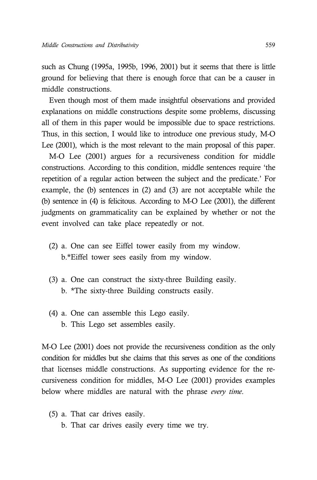such as Chung (1995a, 1995b, 1996, 2001) but it seems that there is little ground for believing that there is enough force that can be a causer in middle constructions.

Even though most of them made insightful observations and provided explanations on middle constructions despite some problems, discussing all of them in this paper would be impossible due to space restrictions. Thus, in this section, I would like to introduce one previous study, M-O Lee (2001), which is the most relevant to the main proposal of this paper.

M-O Lee (2001) argues for a recursiveness condition for middle constructions. According to this condition, middle sentences require 'the repetition of a regular action between the subject and the predicate.' For example, the (b) sentences in (2) and (3) are not acceptable while the (b) sentence in (4) is felicitous. According to M-O Lee (2001), the different judgments on grammaticality can be explained by whether or not the event involved can take place repeatedly or not.

- (2) a. One can see Eiffel tower easily from my window. b.\*Eiffel tower sees easily from my window.
- (3) a. One can construct the sixty-three Building easily. b. \*The sixty-three Building constructs easily.
- (4) a. One can assemble this Lego easily. b. This Lego set assembles easily.

M-O Lee (2001) does not provide the recursiveness condition as the only condition for middles but she claims that this serves as one of the conditions that licenses middle constructions. As supporting evidence for the recursiveness condition for middles, M-O Lee (2001) provides examples below where middles are natural with the phrase *every time*.

- (5) a. That car drives easily.
	- b. That car drives easily every time we try.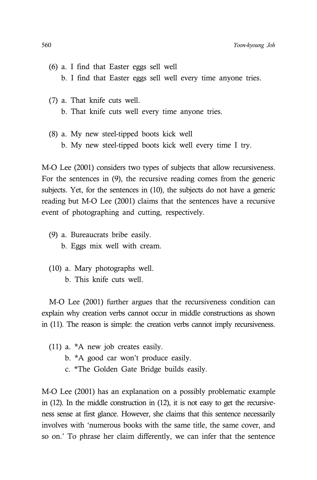- (6) a. I find that Easter eggs sell well b. I find that Easter eggs sell well every time anyone tries.
- (7) a. That knife cuts well. b. That knife cuts well every time anyone tries.
- (8) a. My new steel-tipped boots kick well b. My new steel-tipped boots kick well every time I try.

M-O Lee (2001) considers two types of subjects that allow recursiveness. For the sentences in (9), the recursive reading comes from the generic subjects. Yet, for the sentences in (10), the subjects do not have a generic reading but M-O Lee (2001) claims that the sentences have a recursive event of photographing and cutting, respectively.

- (9) a. Bureaucrats bribe easily. b. Eggs mix well with cream.
- (10) a. Mary photographs well. b. This knife cuts well.

M-O Lee (2001) further argues that the recursiveness condition can explain why creation verbs cannot occur in middle constructions as shown in (11). The reason is simple: the creation verbs cannot imply recursiveness.

- (11) a. \*A new job creates easily.
	- b. \*A good car won't produce easily.
	- c. \*The Golden Gate Bridge builds easily.

M-O Lee (2001) has an explanation on a possibly problematic example in (12). In the middle construction in (12), it is not easy to get the recursiveness sense at first glance. However, she claims that this sentence necessarily involves with 'numerous books with the same title, the same cover, and so on.' To phrase her claim differently, we can infer that the sentence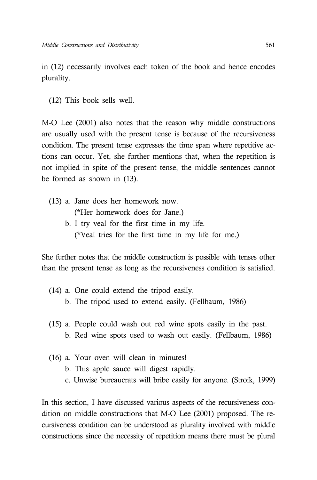in (12) necessarily involves each token of the book and hence encodes plurality.

(12) This book sells well.

M-O Lee (2001) also notes that the reason why middle constructions are usually used with the present tense is because of the recursiveness condition. The present tense expresses the time span where repetitive actions can occur. Yet, she further mentions that, when the repetition is not implied in spite of the present tense, the middle sentences cannot be formed as shown in (13).

- (13) a. Jane does her homework now. (\*Her homework does for Jane.)
	- b. I try veal for the first time in my life. (\*Veal tries for the first time in my life for me.)

She further notes that the middle construction is possible with tenses other than the present tense as long as the recursiveness condition is satisfied.

- (14) a. One could extend the tripod easily. b. The tripod used to extend easily. (Fellbaum, 1986)
- (15) a. People could wash out red wine spots easily in the past. b. Red wine spots used to wash out easily. (Fellbaum, 1986)
- (16) a. Your oven will clean in minutes!
	- b. This apple sauce will digest rapidly.
	- c. Unwise bureaucrats will bribe easily for anyone. (Stroik, 1999)

In this section, I have discussed various aspects of the recursiveness condition on middle constructions that M-O Lee (2001) proposed. The recursiveness condition can be understood as plurality involved with middle constructions since the necessity of repetition means there must be plural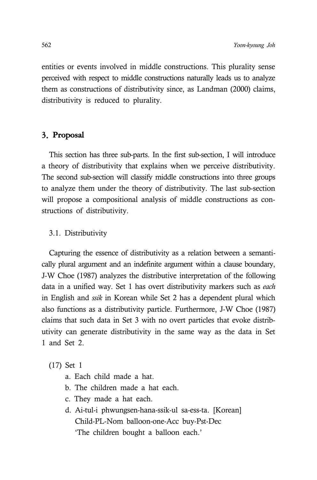entities or events involved in middle constructions. This plurality sense perceived with respect to middle constructions naturally leads us to analyze them as constructions of distributivity since, as Landman (2000) claims, distributivity is reduced to plurality.

# 3. Proposal

This section has three sub-parts. In the first sub-section, I will introduce a theory of distributivity that explains when we perceive distributivity. The second sub-section will classify middle constructions into three groups to analyze them under the theory of distributivity. The last sub-section will propose a compositional analysis of middle constructions as constructions of distributivity.

### 3.1. Distributivity

Capturing the essence of distributivity as a relation between a semantically plural argument and an indefinite argument within a clause boundary, J-W Choe (1987) analyzes the distributive interpretation of the following data in a unified way. Set 1 has overt distributivity markers such as *each* in English and *ssik* in Korean while Set 2 has a dependent plural which also functions as a distributivity particle. Furthermore, J-W Choe (1987) claims that such data in Set 3 with no overt particles that evoke distributivity can generate distributivity in the same way as the data in Set 1 and Set 2.

(17) Set 1

- a. Each child made a hat.
- b. The children made a hat each.
- c. They made a hat each.
- d. Ai-tul-i phwungsen-hana-ssik-ul sa-ess-ta. [Korean] Child-PL-Nom balloon-one-Acc buy-Pst-Dec 'The children bought a balloon each.'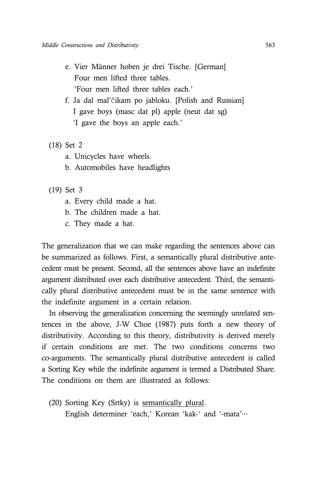- e. Vier Männer hoben je drei Tische. [German] Four men lifted three tables. 'Four men lifted three tables each.'
- f. Ja dal mal'čikam po jabloku. [Polish and Russian] I gave boys (masc dat pl) apple (neut dat sg) 'I gave the boys an apple each.'
- (18) Set 2
	- a. Unicycles have wheels.
	- b. Automobiles have headlights
- (19) Set 3
	- a. Every child made a hat.
	- b. The children made a hat.
	- c. They made a hat.

The generalization that we can make regarding the sentences above can be summarized as follows. First, a semantically plural distributive antecedent must be present. Second, all the sentences above have an indefinite argument distributed over each distributive antecedent. Third, the semantically plural distributive antecedent must be in the same sentence with the indefinite argument in a certain relation.

In observing the generalization concerning the seemingly unrelated sentences in the above, J-W Choe (1987) puts forth a new theory of distributivity. According to this theory, distributivity is derived merely if certain conditions are met. The two conditions concerns two co-arguments. The semantically plural distributive antecedent is called a Sorting Key while the indefinite argument is termed a Distributed Share. The conditions on them are illustrated as follows:

(20) Sorting Key (Srtky) is semantically plural. English determiner 'each,' Korean 'kak-' and '-mata'…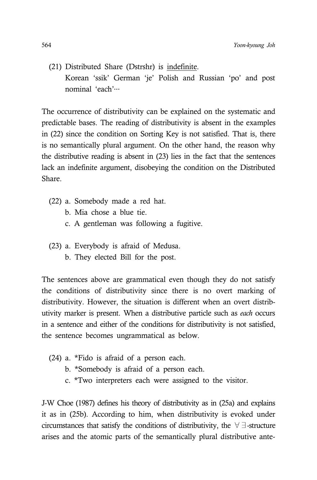(21) Distributed Share (Dstrshr) is indefinite. Korean 'ssik' German 'je' Polish and Russian 'po' and post nominal 'each'…

The occurrence of distributivity can be explained on the systematic and predictable bases. The reading of distributivity is absent in the examples in (22) since the condition on Sorting Key is not satisfied. That is, there is no semantically plural argument. On the other hand, the reason why the distributive reading is absent in (23) lies in the fact that the sentences lack an indefinite argument, disobeying the condition on the Distributed Share.

- (22) a. Somebody made a red hat.
	- b. Mia chose a blue tie.
	- c. A gentleman was following a fugitive.
- (23) a. Everybody is afraid of Medusa.
	- b. They elected Bill for the post.

The sentences above are grammatical even though they do not satisfy the conditions of distributivity since there is no overt marking of distributivity. However, the situation is different when an overt distributivity marker is present. When a distributive particle such as *each* occurs in a sentence and either of the conditions for distributivity is not satisfied, the sentence becomes ungrammatical as below.

- (24) a. \*Fido is afraid of a person each.
	- b. \*Somebody is afraid of a person each.
	- c. \*Two interpreters each were assigned to the visitor.

J-W Choe (1987) defines his theory of distributivity as in (25a) and explains it as in (25b). According to him, when distributivity is evoked under circumstances that satisfy the conditions of distributivity, the ∀∃-structure arises and the atomic parts of the semantically plural distributive ante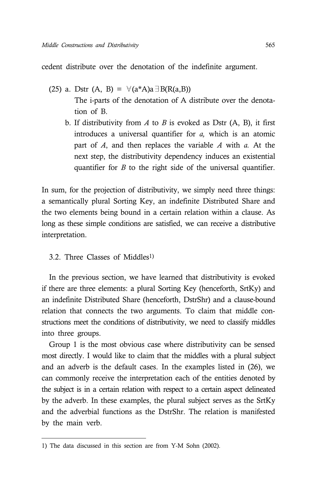cedent distribute over the denotation of the indefinite argument.

- (25) a. Dstr (A, B) =  $\forall$ (a\*A)a∃B(R(a,B)) The i-parts of the denotation of A distribute over the denotation of B.
	- b. If distributivity from *A* to *B* is evoked as Dstr (A, B), it first introduces a universal quantifier for *a,* which is an atomic part of *A*, and then replaces the variable *A* with *a.* At the next step, the distributivity dependency induces an existential quantifier for *B* to the right side of the universal quantifier.

In sum, for the projection of distributivity, we simply need three things: a semantically plural Sorting Key, an indefinite Distributed Share and the two elements being bound in a certain relation within a clause. As long as these simple conditions are satisfied, we can receive a distributive interpretation.

3.2. Three Classes of Middles1)

In the previous section, we have learned that distributivity is evoked if there are three elements: a plural Sorting Key (henceforth, SrtKy) and an indefinite Distributed Share (henceforth, DstrShr) and a clause-bound relation that connects the two arguments. To claim that middle constructions meet the conditions of distributivity, we need to classify middles into three groups.

Group 1 is the most obvious case where distributivity can be sensed most directly. I would like to claim that the middles with a plural subject and an adverb is the default cases. In the examples listed in (26), we can commonly receive the interpretation each of the entities denoted by the subject is in a certain relation with respect to a certain aspect delineated by the adverb. In these examples, the plural subject serves as the SrtKy and the adverbial functions as the DstrShr. The relation is manifested by the main verb.

<sup>1)</sup> The data discussed in this section are from Y-M Sohn (2002).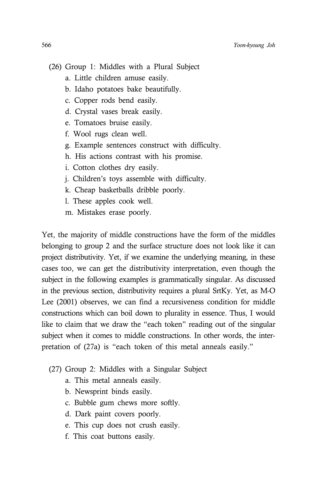- (26) Group 1: Middles with a Plural Subject
	- a. Little children amuse easily.
	- b. Idaho potatoes bake beautifully.
	- c. Copper rods bend easily.
	- d. Crystal vases break easily.
	- e. Tomatoes bruise easily.
	- f. Wool rugs clean well.
	- g. Example sentences construct with difficulty.
	- h. His actions contrast with his promise.
	- i. Cotton clothes dry easily.
	- j. Children's toys assemble with difficulty.
	- k. Cheap basketballs dribble poorly.
	- l. These apples cook well.
	- m. Mistakes erase poorly.

Yet, the majority of middle constructions have the form of the middles belonging to group 2 and the surface structure does not look like it can project distributivity. Yet, if we examine the underlying meaning, in these cases too, we can get the distributivity interpretation, even though the subject in the following examples is grammatically singular. As discussed in the previous section, distributivity requires a plural SrtKy. Yet, as M-O Lee (2001) observes, we can find a recursiveness condition for middle constructions which can boil down to plurality in essence. Thus, I would like to claim that we draw the "each token" reading out of the singular subject when it comes to middle constructions. In other words, the interpretation of (27a) is "each token of this metal anneals easily."

- (27) Group 2: Middles with a Singular Subject
	- a. This metal anneals easily.
	- b. Newsprint binds easily.
	- c. Bubble gum chews more softly.
	- d. Dark paint covers poorly.
	- e. This cup does not crush easily.
	- f. This coat buttons easily.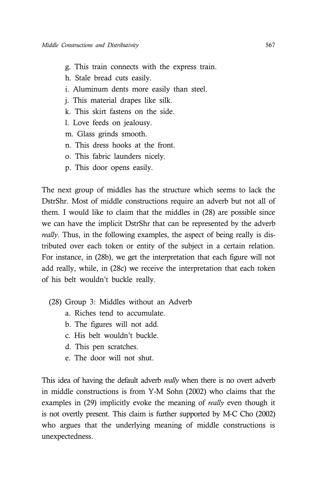- g. This train connects with the express train.
- h. Stale bread cuts easily.
- i. Aluminum dents more easily than steel.
- j. This material drapes like silk.
- k. This skirt fastens on the side.
- l. Love feeds on jealousy.
- m. Glass grinds smooth.
- n. This dress hooks at the front.
- o. This fabric launders nicely.
- p. This door opens easily.

The next group of middles has the structure which seems to lack the DstrShr. Most of middle constructions require an adverb but not all of them. I would like to claim that the middles in (28) are possible since we can have the implicit DstrShr that can be represented by the adverb *really*. Thus, in the following examples, the aspect of being really is distributed over each token or entity of the subject in a certain relation. For instance, in (28b), we get the interpretation that each figure will not add really, while, in (28c) we receive the interpretation that each token of his belt wouldn't buckle really.

- (28) Group 3: Middles without an Adverb
	- a. Riches tend to accumulate.
	- b. The figures will not add.
	- c. His belt wouldn't buckle.
	- d. This pen scratches.
	- e. The door will not shut.

This idea of having the default adverb *really* when there is no overt adverb in middle constructions is from Y-M Sohn (2002) who claims that the examples in (29) implicitly evoke the meaning of *really* even though it is not overtly present. This claim is further supported by M-C Cho (2002) who argues that the underlying meaning of middle constructions is unexpectedness.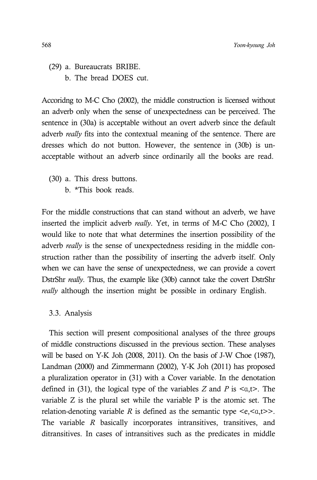- (29) a. Bureaucrats BRIBE.
	- b. The bread DOES cut.

Accoridng to M-C Cho (2002), the middle construction is licensed without an adverb only when the sense of unexpectedness can be perceived. The sentence in (30a) is acceptable without an overt adverb since the default adverb *really* fits into the contextual meaning of the sentence. There are dresses which do not button. However, the sentence in (30b) is unacceptable without an adverb since ordinarily all the books are read.

- (30) a. This dress buttons.
	- b. \*This book reads.

For the middle constructions that can stand without an adverb, we have inserted the implicit adverb *really*. Yet, in terms of M-C Cho (2002), I would like to note that what determines the insertion possibility of the adverb *really* is the sense of unexpectedness residing in the middle construction rather than the possibility of inserting the adverb itself. Only when we can have the sense of unexpectedness, we can provide a covert DstrShr *really*. Thus, the example like (30b) cannot take the covert DstrShr *really* although the insertion might be possible in ordinary English.

## 3.3. Analysis

This section will present compositional analyses of the three groups of middle constructions discussed in the previous section. These analyses will be based on Y-K Joh (2008, 2011). On the basis of J-W Choe (1987), Landman (2000) and Zimmermann (2002), Y-K Joh (2011) has proposed a pluralization operator in (31) with a Cover variable. In the denotation defined in (31), the logical type of the variables *Z* and *P* is <α,t>. The variable Z is the plural set while the variable P is the atomic set. The relation-denoting variable *R* is defined as the semantic type  $\langle e, \langle a, t \rangle \rangle$ . The variable *R* basically incorporates intransitives, transitives, and ditransitives. In cases of intransitives such as the predicates in middle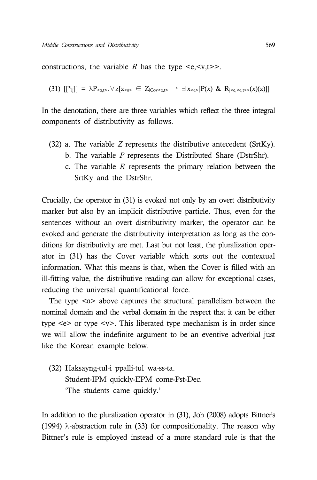constructions, the variable *R* has the type  $\langle e, \langle v, t \rangle \rangle$ .

$$
(31) \; [[*_{ij}]] = \lambda P_{\leq a,t>} \; \forall \; z[z_{\leq b} \in Z_{iCov \leq a,t>} \to \exists x_{\leq a} [P(x) \; \& \; R_{j\leq c,\leq a,t>} (x)(z)]]
$$

In the denotation, there are three variables which reflect the three integral components of distributivity as follows.

- (32) a. The variable *Z* represents the distributive antecedent (SrtKy).
	- b. The variable *P* represents the Distributed Share (DstrShr).
	- c. The variable *R* represents the primary relation between the SrtKy and the DstrShr.

Crucially, the operator in (31) is evoked not only by an overt distributivity marker but also by an implicit distributive particle. Thus, even for the sentences without an overt distributivity marker, the operator can be evoked and generate the distributivity interpretation as long as the conditions for distributivity are met. Last but not least, the pluralization operator in (31) has the Cover variable which sorts out the contextual information. What this means is that, when the Cover is filled with an ill-fitting value, the distributive reading can allow for exceptional cases, reducing the universal quantificational force.

The type  $\langle \alpha \rangle$  above captures the structural parallelism between the nominal domain and the verbal domain in the respect that it can be either type  $\leq e$  or type  $\leq v$ . This liberated type mechanism is in order since we will allow the indefinite argument to be an eventive adverbial just like the Korean example below.

(32) Haksayng-tul-i ppalli-tul wa-ss-ta. Student-IPM quickly-EPM come-Pst-Dec. 'The students came quickly.'

In addition to the pluralization operator in (31), Joh (2008) adopts Bittner's (1994)  $\lambda$ -abstraction rule in (33) for compositionality. The reason why Bittner's rule is employed instead of a more standard rule is that the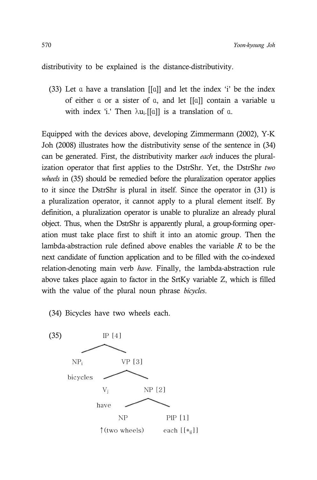distributivity to be explained is the distance-distributivity.

(33) Let α have a translation [[α]] and let the index 'i' be the index of either α or a sister of α, and let [[α]] contain a variable u with index 'i.' Then  $\lambda u_i$ .[[α]] is a translation of α.

Equipped with the devices above, developing Zimmermann (2002), Y-K Joh (2008) illustrates how the distributivity sense of the sentence in (34) can be generated. First, the distributivity marker *each* induces the pluralization operator that first applies to the DstrShr. Yet, the DstrShr *two wheels* in (35) should be remedied before the pluralization operator applies to it since the DstrShr is plural in itself. Since the operator in (31) is a pluralization operator, it cannot apply to a plural element itself. By definition, a pluralization operator is unable to pluralize an already plural object. Thus, when the DstrShr is apparently plural, a group-forming operation must take place first to shift it into an atomic group. Then the lambda-abstraction rule defined above enables the variable *R* to be the next candidate of function application and to be filled with the co-indexed relation-denoting main verb *have*. Finally, the lambda-abstraction rule above takes place again to factor in the SrtKy variable Z, which is filled with the value of the plural noun phrase *bicycles*.

(34) Bicycles have two wheels each.

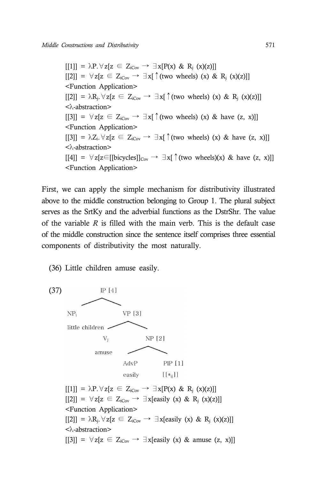$[[1]] = \lambda P. \forall z [z \in Z_{iCov} \rightarrow \exists x [P(x) \& R_i(x)(z)]]$  $[2]$ ] =  $\forall z[z \in Z_{icov} \rightarrow \exists x[\uparrow$  (two wheels) (x) & R<sub>i</sub> (x)(z)]] <Function Application>  $[[2]] = \lambda R_i. \forall z[z \in Z_{icov} \rightarrow \exists x[\uparrow (two wheels) (x) \& R_i (x)(z)]]$ <λ-abstraction>  $[3]$ ] =  $\forall z[z \in Z_{iCov} \rightarrow \exists x$ [ (two wheels) (x) & have (z, x)]] <Function Application>  $[3]$ ] =  $\lambda Z_i$ .  $\forall z[z \in Z_{iCov} \rightarrow \exists x$  (two wheels) (x) & have (z, x)]] <λ-abstraction>  $[4]$ ] =  $\forall$ z[z∈[[bicycles]]<sub>Cov</sub>  $\rightarrow \exists$ x[↑(two wheels)(x) & have (z, x)]] <Function Application>

First, we can apply the simple mechanism for distributivity illustrated above to the middle construction belonging to Group 1. The plural subject serves as the SrtKy and the adverbial functions as the DstrShr. The value of the variable *R* is filled with the main verb. This is the default case of the middle construction since the sentence itself comprises three essential components of distributivity the most naturally.

(36) Little children amuse easily.

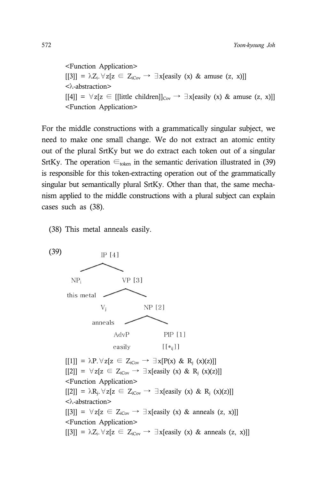<Function Application>  $[[3]] = \lambda Z_i. \forall z[z \in Z_{iCov} \rightarrow \exists x[easily (x) \& amuse (z, x)]]$ <λ-abstraction>  $[14]$  =  $\forall z[z \in [[\text{little children}]]_{\text{Cov}} \rightarrow \exists x[\text{easily (x) & amuse (z, x)]]}]$ <Function Application>

For the middle constructions with a grammatically singular subject, we need to make one small change. We do not extract an atomic entity out of the plural SrtKy but we do extract each token out of a singular SrtKy. The operation  $\epsilon_{\text{token}}$  in the semantic derivation illustrated in (39) is responsible for this token-extracting operation out of the grammatically singular but semantically plural SrtKy. Other than that, the same mechanism applied to the middle constructions with a plural subject can explain cases such as (38).

(38) This metal anneals easily.

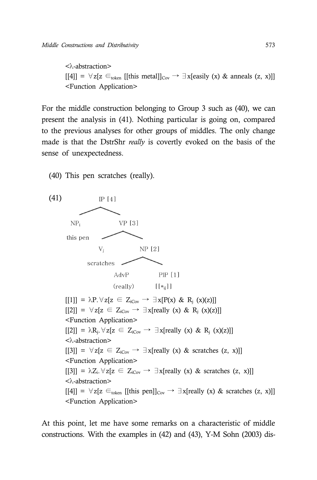<λ-abstraction>  $[[4]] = \forall z[z \in_{\text{token}} [[\text{this metal}]]_{\text{Cov}} \rightarrow \exists x[\text{easily (x) & \text{anneals (z, x)}]]$ <Function Application>

For the middle construction belonging to Group 3 such as (40), we can present the analysis in (41). Nothing particular is going on, compared to the previous analyses for other groups of middles. The only change made is that the DstrShr *really* is covertly evoked on the basis of the sense of unexpectedness.

(40) This pen scratches (really).



At this point, let me have some remarks on a characteristic of middle constructions. With the examples in (42) and (43), Y-M Sohn (2003) dis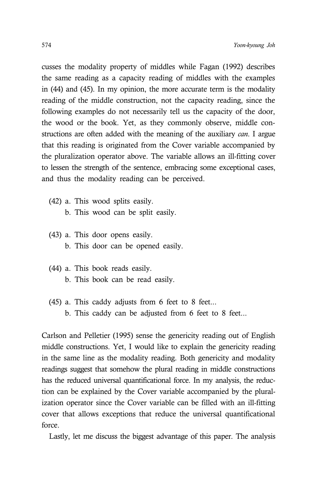cusses the modality property of middles while Fagan (1992) describes the same reading as a capacity reading of middles with the examples in (44) and (45). In my opinion, the more accurate term is the modality reading of the middle construction, not the capacity reading, since the following examples do not necessarily tell us the capacity of the door, the wood or the book. Yet, as they commonly observe, middle constructions are often added with the meaning of the auxiliary *can*. I argue that this reading is originated from the Cover variable accompanied by the pluralization operator above. The variable allows an ill-fitting cover to lessen the strength of the sentence, embracing some exceptional cases, and thus the modality reading can be perceived.

- (42) a. This wood splits easily. b. This wood can be split easily.
- (43) a. This door opens easily. b. This door can be opened easily.
- (44) a. This book reads easily. b. This book can be read easily.
- (45) a. This caddy adjusts from 6 feet to 8 feet... b. This caddy can be adjusted from 6 feet to 8 feet...

Carlson and Pelletier (1995) sense the genericity reading out of English middle constructions. Yet, I would like to explain the genericity reading in the same line as the modality reading. Both genericity and modality readings suggest that somehow the plural reading in middle constructions has the reduced universal quantificational force. In my analysis, the reduction can be explained by the Cover variable accompanied by the pluralization operator since the Cover variable can be filled with an ill-fitting cover that allows exceptions that reduce the universal quantificational force.

Lastly, let me discuss the biggest advantage of this paper. The analysis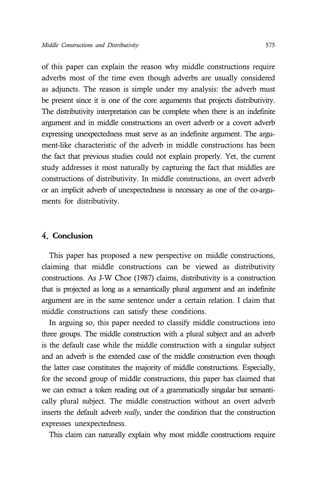of this paper can explain the reason why middle constructions require adverbs most of the time even though adverbs are usually considered as adjuncts. The reason is simple under my analysis: the adverb must be present since it is one of the core arguments that projects distributivity. The distributivity interpretation can be complete when there is an indefinite argument and in middle constructions an overt adverb or a covert adverb expressing unexpectedness must serve as an indefinite argument. The argument-like characteristic of the adverb in middle constructions has been the fact that previous studies could not explain properly. Yet, the current study addresses it most naturally by capturing the fact that middles are constructions of distributivity. In middle constructions, an overt adverb or an implicit adverb of unexpectedness is necessary as one of the co-arguments for distributivity.

# 4. Conclusion

This paper has proposed a new perspective on middle constructions, claiming that middle constructions can be viewed as distributivity constructions. As J-W Choe (1987) claims, distributivity is a construction that is projected as long as a semantically plural argument and an indefinite argument are in the same sentence under a certain relation. I claim that middle constructions can satisfy these conditions.

In arguing so, this paper needed to classify middle constructions into three groups. The middle construction with a plural subject and an adverb is the default case while the middle construction with a singular subject and an adverb is the extended case of the middle construction even though the latter case constitutes the majority of middle constructions. Especially, for the second group of middle constructions, this paper has claimed that we can extract a token reading out of a grammatically singular but semantically plural subject. The middle construction without an overt adverb inserts the default adverb *really*, under the condition that the construction expresses unexpectedness.

This claim can naturally explain why most middle constructions require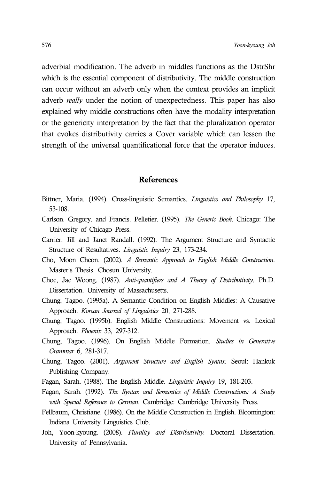adverbial modification. The adverb in middles functions as the DstrShr which is the essential component of distributivity. The middle construction can occur without an adverb only when the context provides an implicit adverb *really* under the notion of unexpectedness. This paper has also explained why middle constructions often have the modality interpretation or the genericity interpretation by the fact that the pluralization operator that evokes distributivity carries a Cover variable which can lessen the strength of the universal quantificational force that the operator induces.

## References

- Bittner, Maria. (1994). Cross-linguistic Semantics. *Linguistics and Philosophy* 17, 53-108.
- Carlson. Gregory. and Francis. Pelletier. (1995). *The Generic Book*. Chicago: The University of Chicago Press.
- Carrier, Jill and Janet Randall. (1992). The Argument Structure and Syntactic Structure of Resultatives. *Linguistic Inquiry* 23, 173-234.
- Cho, Moon Cheon. (2002). *A Semantic Approach to English Middle Construction*. Master's Thesis. Chosun University.
- Choe, Jae Woong. (1987). *Anti-quantifiers and A Theory of Distributivity*. Ph.D. Dissertation. University of Massachusetts.
- Chung, Tagoo. (1995a). A Semantic Condition on English Middles: A Causative Approach. *Korean Journal of Linguistics* 20, 271-288.
- Chung, Tagoo. (1995b). English Middle Constructions: Movement vs. Lexical Approach. *Phoenix* 33, 297-312.
- Chung, Tagoo. (1996). On English Middle Formation. *Studies in Generative Grammar* 6, 281-317.
- Chung, Tagoo. (2001). *Argument Structure and English Syntax*. Seoul: Hankuk Publishing Company.
- Fagan, Sarah. (1988). The English Middle. *Linguistic Inquiry* 19, 181-203.
- Fagan, Sarah. (1992). *The Syntax and Semantics of Middle Constructions: A Study with Special Reference to German*. Cambridge: Cambridge University Press.
- Fellbaum, Christiane. (1986). On the Middle Construction in English. Bloomington: Indiana University Linguistics Club.
- Joh, Yoon-kyoung. (2008). *Plurality and Distributivity.* Doctoral Dissertation. University of Pennsylvania.